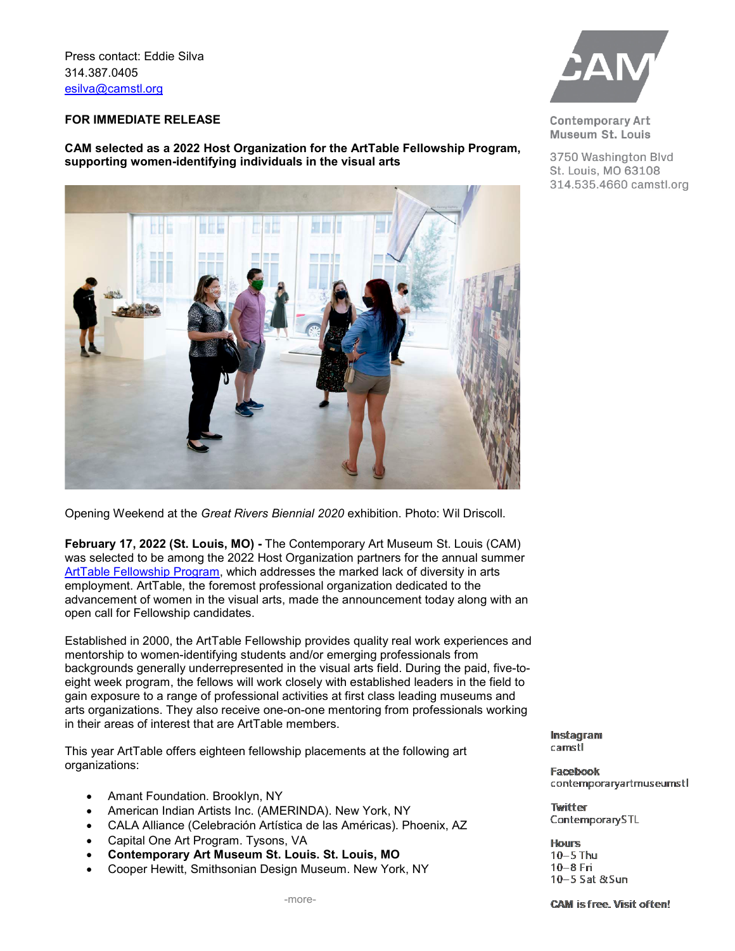Press contact: Eddie Silva 314.387.0405 [esilva@camstl.org](mailto:esilva@camstl.org)

### **FOR IMMEDIATE RELEASE**

**CAM selected as a 2022 Host Organization for the ArtTable Fellowship Program, supporting women-identifying individuals in the visual arts**



Opening Weekend at the *Great Rivers Biennial 2020* exhibition. Photo: Wil Driscoll.

**February 17, 2022 (St. Louis, MO) -** The Contemporary Art Museum St. Louis (CAM) was selected to be among the 2022 Host Organization partners for the annual summer [ArtTable Fellowship Program,](https://arttable.org/impact/) which addresses the marked lack of diversity in arts employment. ArtTable, the foremost professional organization dedicated to the advancement of women in the visual arts, made the announcement today along with an open call for Fellowship candidates.

Established in 2000, the ArtTable Fellowship provides quality real work experiences and mentorship to women-identifying students and/or emerging professionals from backgrounds generally underrepresented in the visual arts field. During the paid, five-toeight week program, the fellows will work closely with established leaders in the field to gain exposure to a range of professional activities at first class leading museums and arts organizations. They also receive one-on-one mentoring from professionals working in their areas of interest that are ArtTable members.

This year ArtTable offers eighteen fellowship placements at the following art organizations:

- Amant Foundation. Brooklyn, NY
- American Indian Artists Inc. (AMERINDA). New York, NY
- CALA Alliance (Celebración Artística de las Américas). Phoenix, AZ
- Capital One Art Program. Tysons, VA
- **Contemporary Art Museum St. Louis. St. Louis, MO**
- Cooper Hewitt, Smithsonian Design Museum. New York, NY



**Contemporary Art** Museum St. Louis

3750 Washington Blvd St. Louis, MO 63108 314.535.4660 camstl.org

Instagram camstl

Facebook contemporaryartmuseumstl

Twitter ContemporarySTL

**Hours**  $10-5$  Thu 10-8 Fri 10-5 Sat &Sun